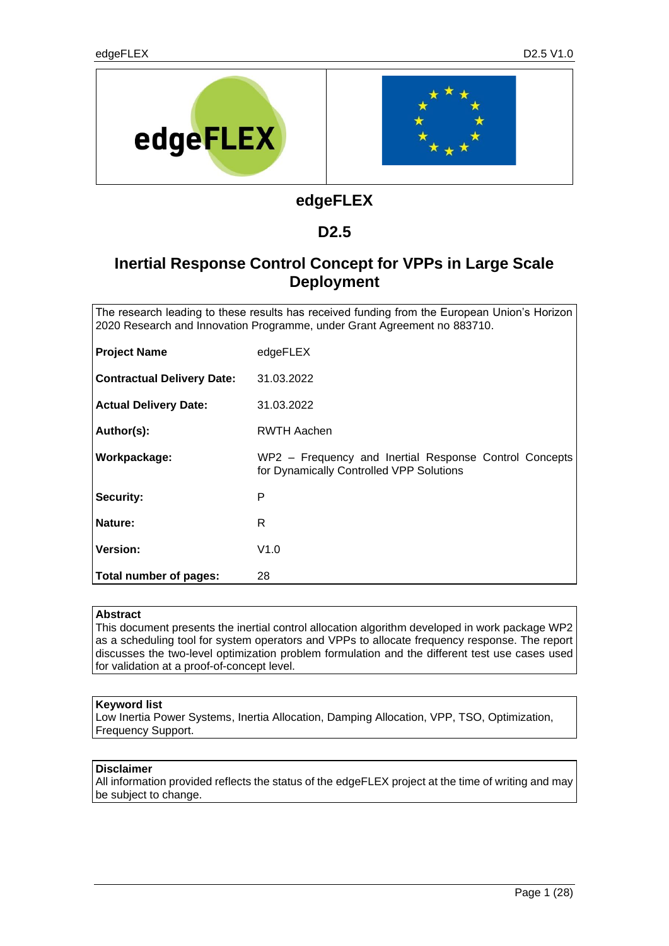

# **edgeFLEX**

## **D2.5**

# **Inertial Response Control Concept for VPPs in Large Scale Deployment**

The research leading to these results has received funding from the European Union's Horizon 2020 Research and Innovation Programme, under Grant Agreement no 883710.

| <b>Project Name</b>               | edgeFLEX                                                                                           |
|-----------------------------------|----------------------------------------------------------------------------------------------------|
| <b>Contractual Delivery Date:</b> | 31.03.2022                                                                                         |
| <b>Actual Delivery Date:</b>      | 31.03.2022                                                                                         |
| Author(s):                        | RWTH Aachen                                                                                        |
| Workpackage:                      | WP2 - Frequency and Inertial Response Control Concepts<br>for Dynamically Controlled VPP Solutions |
| <b>Security:</b>                  | P                                                                                                  |
| Nature:                           | R                                                                                                  |
| <b>Version:</b>                   | V1.0                                                                                               |
| Total number of pages:            | 28                                                                                                 |

#### **Abstract**

This document presents the inertial control allocation algorithm developed in work package WP2 as a scheduling tool for system operators and VPPs to allocate frequency response. The report discusses the two-level optimization problem formulation and the different test use cases used for validation at a proof-of-concept level.

#### **Keyword list**

Low Inertia Power Systems, Inertia Allocation, Damping Allocation, VPP, TSO, Optimization, Frequency Support.

#### **Disclaimer**

All information provided reflects the status of the edgeFLEX project at the time of writing and may be subject to change.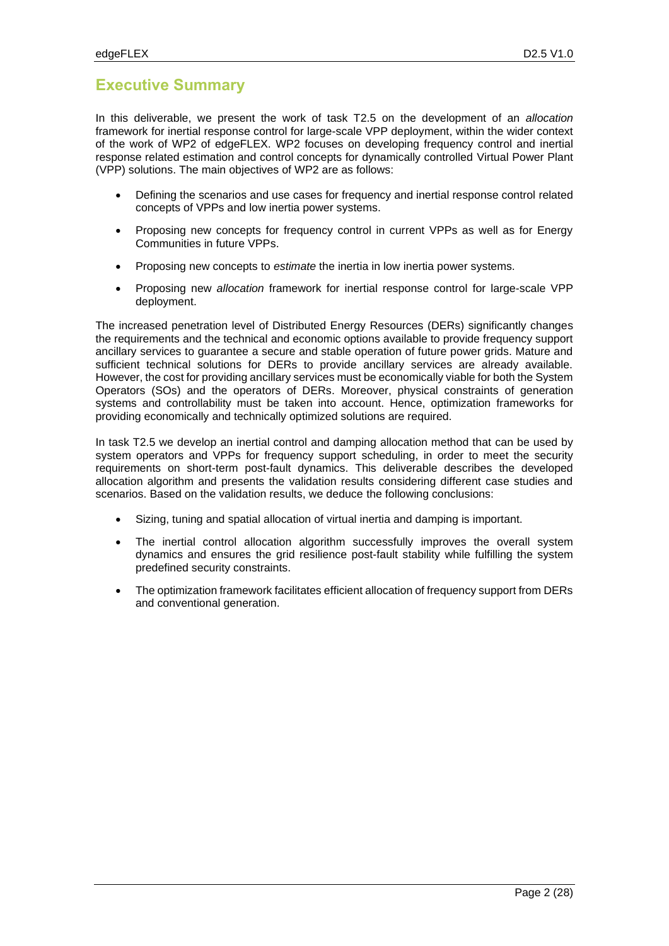## **Executive Summary**

In this deliverable, we present the work of task T2.5 on the development of an *allocation* framework for inertial response control for large-scale VPP deployment, within the wider context of the work of WP2 of edgeFLEX. WP2 focuses on developing frequency control and inertial response related estimation and control concepts for dynamically controlled Virtual Power Plant (VPP) solutions. The main objectives of WP2 are as follows:

- Defining the scenarios and use cases for frequency and inertial response control related concepts of VPPs and low inertia power systems.
- Proposing new concepts for frequency control in current VPPs as well as for Energy Communities in future VPPs.
- Proposing new concepts to *estimate* the inertia in low inertia power systems.
- Proposing new *allocation* framework for inertial response control for large-scale VPP deployment.

The increased penetration level of Distributed Energy Resources (DERs) significantly changes the requirements and the technical and economic options available to provide frequency support ancillary services to guarantee a secure and stable operation of future power grids. Mature and sufficient technical solutions for DERs to provide ancillary services are already available. However, the cost for providing ancillary services must be economically viable for both the System Operators (SOs) and the operators of DERs. Moreover, physical constraints of generation systems and controllability must be taken into account. Hence, optimization frameworks for providing economically and technically optimized solutions are required.

In task T2.5 we develop an inertial control and damping allocation method that can be used by system operators and VPPs for frequency support scheduling, in order to meet the security requirements on short-term post-fault dynamics. This deliverable describes the developed allocation algorithm and presents the validation results considering different case studies and scenarios. Based on the validation results, we deduce the following conclusions:

- Sizing, tuning and spatial allocation of virtual inertia and damping is important.
- The inertial control allocation algorithm successfully improves the overall system dynamics and ensures the grid resilience post-fault stability while fulfilling the system predefined security constraints.
- The optimization framework facilitates efficient allocation of frequency support from DERs and conventional generation.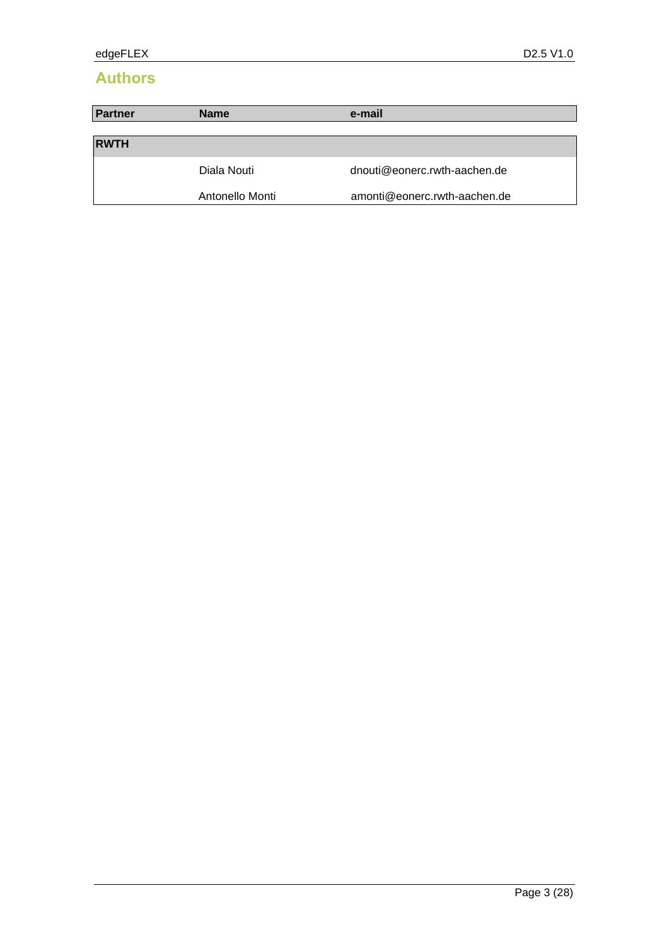# **Authors**

| Partner     | <b>Name</b>     | e-mail                       |
|-------------|-----------------|------------------------------|
|             |                 |                              |
| <b>RWTH</b> |                 |                              |
|             | Diala Nouti     | dnouti@eonerc.rwth-aachen.de |
|             | Antonello Monti | amonti@eonerc.rwth-aachen.de |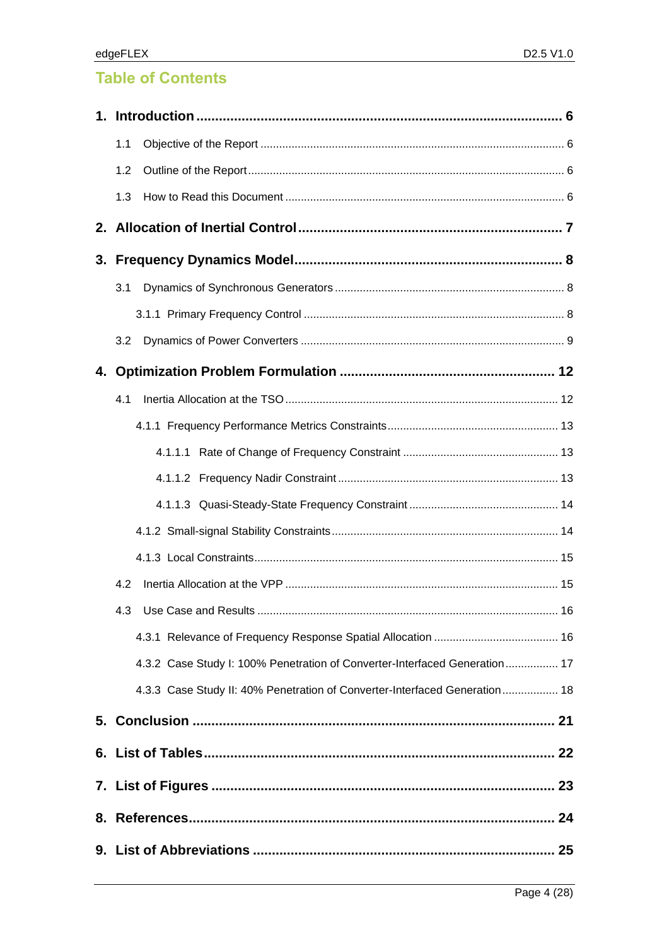# **Table of Contents**

| 1.1 |                                                                            |    |
|-----|----------------------------------------------------------------------------|----|
| 1.2 |                                                                            |    |
| 1.3 |                                                                            |    |
|     |                                                                            |    |
|     |                                                                            |    |
| 3.1 |                                                                            |    |
|     |                                                                            |    |
| 3.2 |                                                                            |    |
|     |                                                                            |    |
| 4.1 |                                                                            |    |
|     |                                                                            |    |
|     |                                                                            |    |
|     |                                                                            |    |
|     |                                                                            |    |
|     |                                                                            |    |
|     |                                                                            |    |
| 4.2 |                                                                            |    |
|     | 4.3 Use Case and Results                                                   | 16 |
|     |                                                                            |    |
|     | 4.3.2 Case Study I: 100% Penetration of Converter-Interfaced Generation 17 |    |
|     | 4.3.3 Case Study II: 40% Penetration of Converter-Interfaced Generation 18 |    |
|     |                                                                            |    |
|     |                                                                            |    |
|     |                                                                            |    |
|     |                                                                            |    |
|     |                                                                            |    |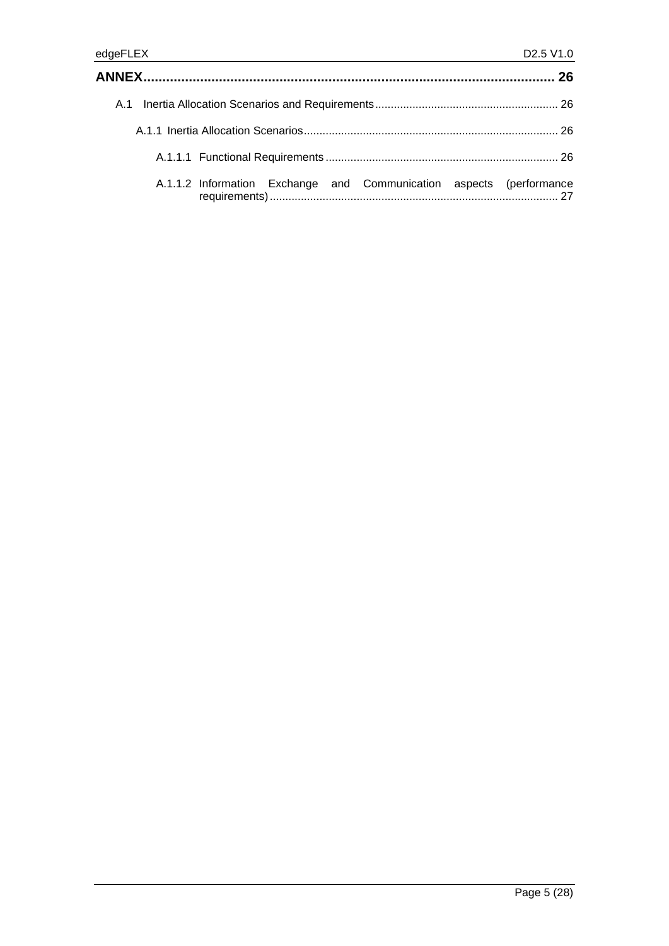| A.1.1.2 Information Exchange and Communication aspects (performance |  |
|---------------------------------------------------------------------|--|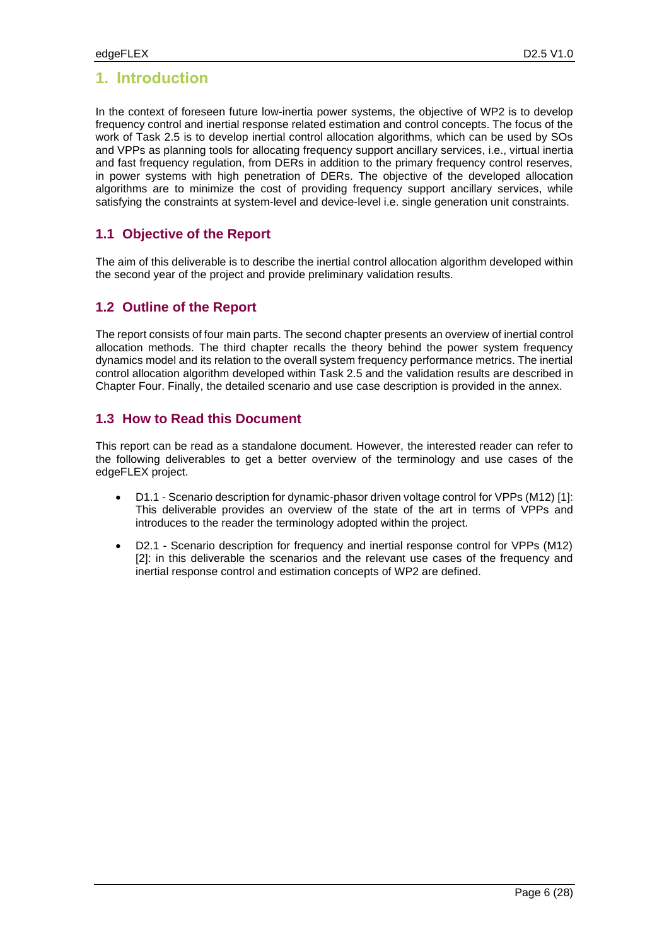## **1. Introduction**

In the context of foreseen future low-inertia power systems, the objective of WP2 is to develop frequency control and inertial response related estimation and control concepts. The focus of the work of Task 2.5 is to develop inertial control allocation algorithms, which can be used by SOs and VPPs as planning tools for allocating frequency support ancillary services, i.e., virtual inertia and fast frequency regulation, from DERs in addition to the primary frequency control reserves, in power systems with high penetration of DERs. The objective of the developed allocation algorithms are to minimize the cost of providing frequency support ancillary services, while satisfying the constraints at system-level and device-level i.e. single generation unit constraints.

### **1.1 Objective of the Report**

The aim of this deliverable is to describe the inertial control allocation algorithm developed within the second year of the project and provide preliminary validation results.

### **1.2 Outline of the Report**

The report consists of four main parts. The second chapter presents an overview of inertial control allocation methods. The third chapter recalls the theory behind the power system frequency dynamics model and its relation to the overall system frequency performance metrics. The inertial control allocation algorithm developed within Task 2.5 and the validation results are described in Chapter Four. Finally, the detailed scenario and use case description is provided in the annex.

### **1.3 How to Read this Document**

This report can be read as a standalone document. However, the interested reader can refer to the following deliverables to get a better overview of the terminology and use cases of the edgeFLEX project.

- D1.1 Scenario description for dynamic-phasor driven voltage control for VPPs (M12) [1]: This deliverable provides an overview of the state of the art in terms of VPPs and introduces to the reader the terminology adopted within the project.
- D2.1 Scenario description for frequency and inertial response control for VPPs (M12) [2]: in this deliverable the scenarios and the relevant use cases of the frequency and inertial response control and estimation concepts of WP2 are defined.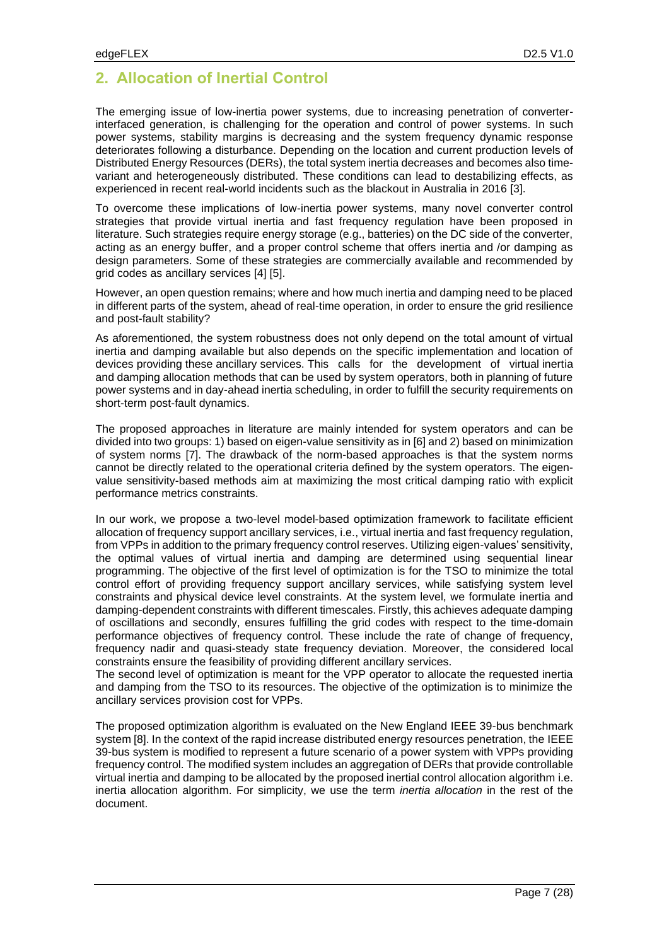# **2. Allocation of Inertial Control**

The emerging issue of low-inertia power systems, due to increasing penetration of converterinterfaced generation, is challenging for the operation and control of power systems. In such power systems, stability margins is decreasing and the system frequency dynamic response deteriorates following a disturbance. Depending on the location and current production levels of Distributed Energy Resources (DERs), the total system inertia decreases and becomes also timevariant and heterogeneously distributed. These conditions can lead to destabilizing effects, as experienced in recent real-world incidents such as the blackout in Australia in 2016 [3].

To overcome these implications of low-inertia power systems, many novel converter control strategies that provide virtual inertia and fast frequency regulation have been proposed in literature. Such strategies require energy storage (e.g., batteries) on the DC side of the converter, acting as an energy buffer, and a proper control scheme that offers inertia and /or damping as design parameters. Some of these strategies are commercially available and recommended by grid codes as ancillary services [4] [5].

However, an open question remains; where and how much inertia and damping need to be placed in different parts of the system, ahead of real-time operation, in order to ensure the grid resilience and post-fault stability?

As aforementioned, the system robustness does not only depend on the total amount of virtual inertia and damping available but also depends on the specific implementation and location of devices providing these ancillary services. This calls for the development of virtual inertia and damping allocation methods that can be used by system operators, both in planning of future power systems and in day-ahead inertia scheduling, in order to fulfill the security requirements on short-term post-fault dynamics.

The proposed approaches in literature are mainly intended for system operators and can be divided into two groups: 1) based on eigen-value sensitivity as in [6] and 2) based on minimization of system norms [7]. The drawback of the norm-based approaches is that the system norms cannot be directly related to the operational criteria defined by the system operators. The eigenvalue sensitivity-based methods aim at maximizing the most critical damping ratio with explicit performance metrics constraints.

In our work, we propose a two-level model-based optimization framework to facilitate efficient allocation of frequency support ancillary services, i.e., virtual inertia and fast frequency regulation, from VPPs in addition to the primary frequency control reserves. Utilizing eigen-values' sensitivity, the optimal values of virtual inertia and damping are determined using sequential linear programming. The objective of the first level of optimization is for the TSO to minimize the total control effort of providing frequency support ancillary services, while satisfying system level constraints and physical device level constraints. At the system level, we formulate inertia and damping-dependent constraints with different timescales. Firstly, this achieves adequate damping of oscillations and secondly, ensures fulfilling the grid codes with respect to the time-domain performance objectives of frequency control. These include the rate of change of frequency, frequency nadir and quasi-steady state frequency deviation. Moreover, the considered local constraints ensure the feasibility of providing different ancillary services.

The second level of optimization is meant for the VPP operator to allocate the requested inertia and damping from the TSO to its resources. The objective of the optimization is to minimize the ancillary services provision cost for VPPs.

The proposed optimization algorithm is evaluated on the New England IEEE 39-bus benchmark system [8]. In the context of the rapid increase distributed energy resources penetration, the IEEE 39-bus system is modified to represent a future scenario of a power system with VPPs providing frequency control. The modified system includes an aggregation of DERs that provide controllable virtual inertia and damping to be allocated by the proposed inertial control allocation algorithm i.e. inertia allocation algorithm. For simplicity, we use the term *inertia allocation* in the rest of the document.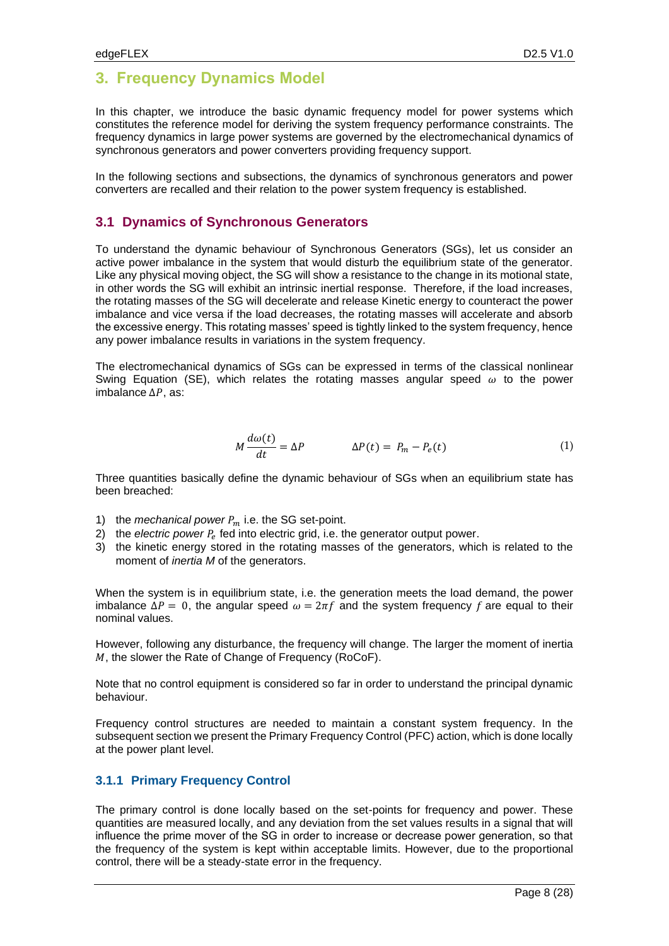# **3. Frequency Dynamics Model**

In this chapter, we introduce the basic dynamic frequency model for power systems which constitutes the reference model for deriving the system frequency performance constraints. The frequency dynamics in large power systems are governed by the electromechanical dynamics of synchronous generators and power converters providing frequency support.

In the following sections and subsections, the dynamics of synchronous generators and power converters are recalled and their relation to the power system frequency is established.

### **3.1 Dynamics of Synchronous Generators**

To understand the dynamic behaviour of Synchronous Generators (SGs), let us consider an active power imbalance in the system that would disturb the equilibrium state of the generator. Like any physical moving object, the SG will show a resistance to the change in its motional state, in other words the SG will exhibit an intrinsic inertial response. Therefore, if the load increases, the rotating masses of the SG will decelerate and release Kinetic energy to counteract the power imbalance and vice versa if the load decreases, the rotating masses will accelerate and absorb the excessive energy. This rotating masses' speed is tightly linked to the system frequency, hence any power imbalance results in variations in the system frequency.

The electromechanical dynamics of SGs can be expressed in terms of the classical nonlinear Swing Equation (SE), which relates the rotating masses angular speed  $\omega$  to the power imbalance  $\Delta P$ , as:

$$
M\frac{d\omega(t)}{dt} = \Delta P \qquad \qquad \Delta P(t) = P_m - P_e(t) \tag{1}
$$

Three quantities basically define the dynamic behaviour of SGs when an equilibrium state has been breached:

- 1) the *mechanical power*  $P_m$  i.e. the SG set-point.
- 2) the *electric power*  $P_e$  fed into electric grid, i.e. the generator output power.
- 3) the kinetic energy stored in the rotating masses of the generators, which is related to the moment of *inertia M* of the generators.

When the system is in equilibrium state, i.e. the generation meets the load demand, the power imbalance  $\Delta P = 0$ , the angular speed  $\omega = 2\pi f$  and the system frequency f are equal to their nominal values.

However, following any disturbance, the frequency will change. The larger the moment of inertia  $M$ , the slower the Rate of Change of Frequency (RoCoF).

Note that no control equipment is considered so far in order to understand the principal dynamic behaviour.

Frequency control structures are needed to maintain a constant system frequency. In the subsequent section we present the Primary Frequency Control (PFC) action, which is done locally at the power plant level.

### **3.1.1 Primary Frequency Control**

The primary control is done locally based on the set-points for frequency and power. These quantities are measured locally, and any deviation from the set values results in a signal that will influence the prime mover of the SG in order to increase or decrease power generation, so that the frequency of the system is kept within acceptable limits. However, due to the proportional control, there will be a steady-state error in the frequency.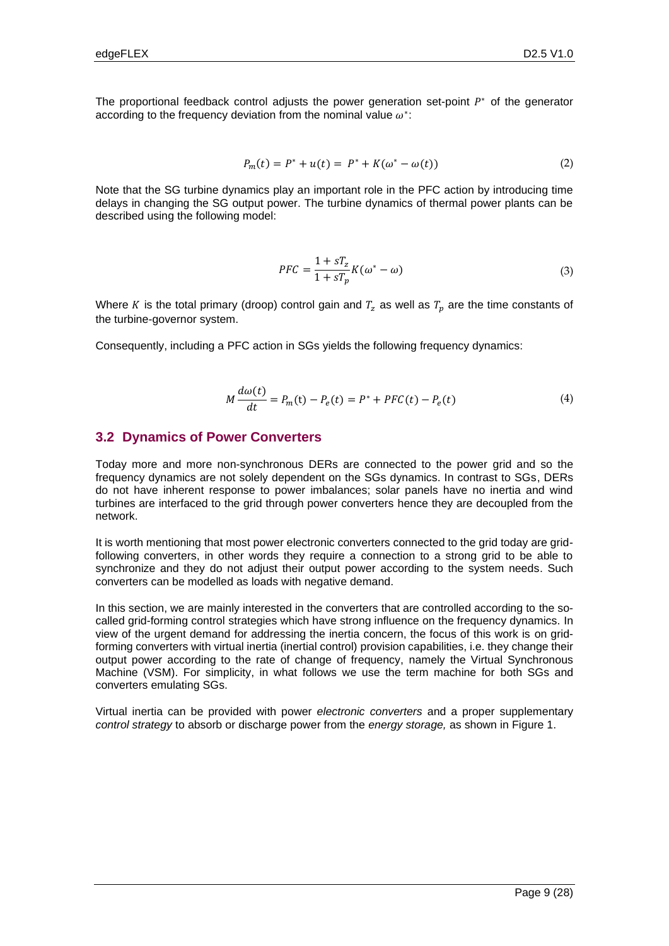The proportional feedback control adjusts the power generation set-point  $P^*$  of the generator according to the frequency deviation from the nominal value  $\omega^*$ :

$$
P_m(t) = P^* + u(t) = P^* + K(\omega^* - \omega(t))
$$
\n(2)

Note that the SG turbine dynamics play an important role in the PFC action by introducing time delays in changing the SG output power. The turbine dynamics of thermal power plants can be described using the following model:

$$
PFC = \frac{1 + sT_z}{1 + sT_p}K(\omega^* - \omega)
$$
\n(3)

Where K is the total primary (droop) control gain and  $T_z$  as well as  $T_p$  are the time constants of the turbine-governor system.

Consequently, including a PFC action in SGs yields the following frequency dynamics:

$$
M\frac{d\omega(t)}{dt} = P_m(t) - P_e(t) = P^* + PFC(t) - P_e(t)
$$
\n(4)

### <span id="page-8-0"></span>**3.2 Dynamics of Power Converters**

Today more and more non-synchronous DERs are connected to the power grid and so the frequency dynamics are not solely dependent on the SGs dynamics. In contrast to SGs, DERs do not have inherent response to power imbalances; solar panels have no inertia and wind turbines are interfaced to the grid through power converters hence they are decoupled from the network.

It is worth mentioning that most power electronic converters connected to the grid today are gridfollowing converters, in other words they require a connection to a strong grid to be able to synchronize and they do not adjust their output power according to the system needs. Such converters can be modelled as loads with negative demand.

In this section, we are mainly interested in the converters that are controlled according to the socalled grid-forming control strategies which have strong influence on the frequency dynamics. In view of the urgent demand for addressing the inertia concern, the focus of this work is on gridforming converters with virtual inertia (inertial control) provision capabilities, i.e. they change their output power according to the rate of change of frequency, namely the Virtual Synchronous Machine (VSM). For simplicity, in what follows we use the term machine for both SGs and converters emulating SGs.

Virtual inertia can be provided with power *electronic converters* and a proper supplementary *control strategy* to absorb or discharge power from the *energy storage,* as shown in [Figure 1.](#page-9-0)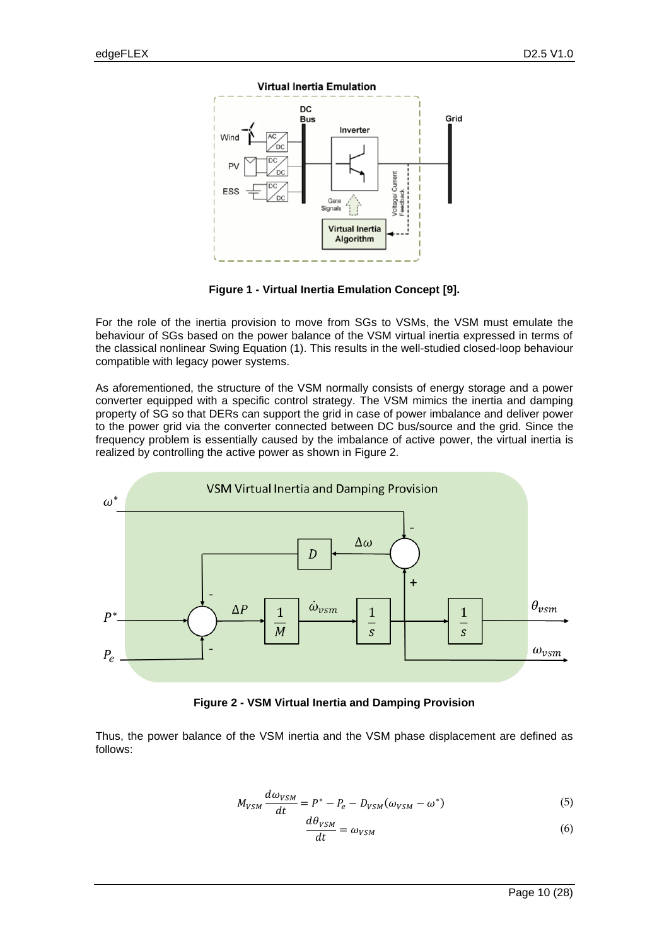

**Figure 1 - Virtual Inertia Emulation Concept [9].**

<span id="page-9-0"></span>For the role of the inertia provision to move from SGs to VSMs, the VSM must emulate the behaviour of SGs based on the power balance of the VSM virtual inertia expressed in terms of the classical nonlinear Swing Equation (1). This results in the well-studied closed-loop behaviour compatible with legacy power systems.

As aforementioned, the structure of the VSM normally consists of energy storage and a power converter equipped with a specific control strategy. The VSM mimics the inertia and damping property of SG so that DERs can support the grid in case of power imbalance and deliver power to the power grid via the converter connected between DC bus/source and the grid. Since the frequency problem is essentially caused by the imbalance of active power, the virtual inertia is realized by controlling the active power as shown in [Figure 2.](#page-9-1)



**Figure 2 - VSM Virtual Inertia and Damping Provision**

<span id="page-9-1"></span>Thus, the power balance of the VSM inertia and the VSM phase displacement are defined as follows:

$$
M_{VSM}\frac{d\omega_{VSM}}{dt} = P^* - P_e - D_{VSM}(\omega_{VSM} - \omega^*)
$$
\n(5)

$$
\frac{d\theta_{VSM}}{dt} = \omega_{VSM} \tag{6}
$$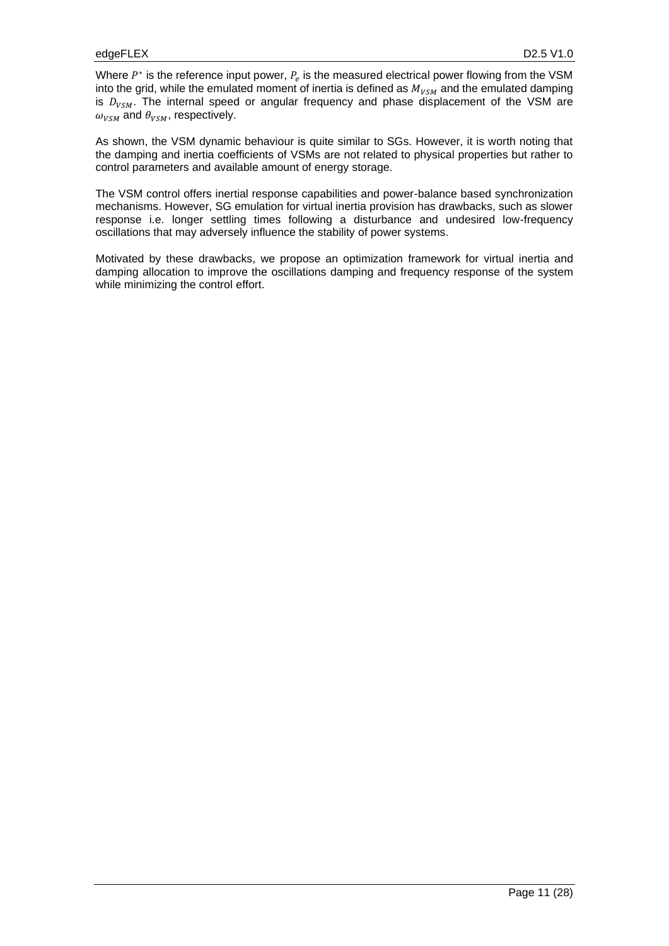Where  $P^*$  is the reference input power,  $P_e$  is the measured electrical power flowing from the VSM into the grid, while the emulated moment of inertia is defined as  $M_{VSM}$  and the emulated damping is  $D_{VSM}$ . The internal speed or angular frequency and phase displacement of the VSM are  $\omega_{VSM}$  and  $\theta_{VSM}$ , respectively.

As shown, the VSM dynamic behaviour is quite similar to SGs. However, it is worth noting that the damping and inertia coefficients of VSMs are not related to physical properties but rather to control parameters and available amount of energy storage.

The VSM control offers inertial response capabilities and power-balance based synchronization mechanisms. However, SG emulation for virtual inertia provision has drawbacks, such as slower response i.e. longer settling times following a disturbance and undesired low-frequency oscillations that may adversely influence the stability of power systems.

Motivated by these drawbacks, we propose an optimization framework for virtual inertia and damping allocation to improve the oscillations damping and frequency response of the system while minimizing the control effort.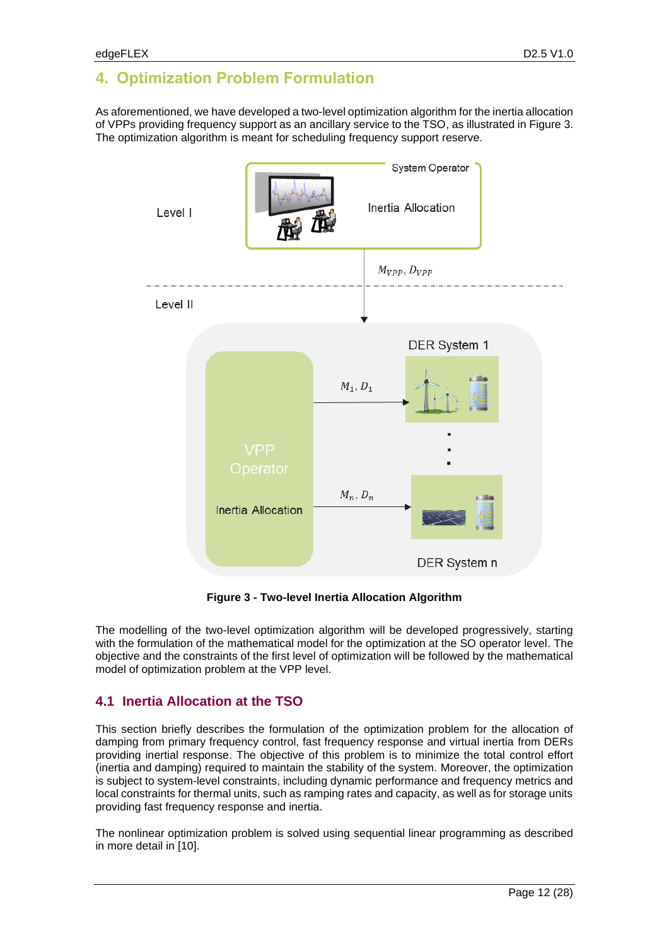# **4. Optimization Problem Formulation**

As aforementioned, we have developed a two-level optimization algorithm for the inertia allocation of VPPs providing frequency support as an ancillary service to the TSO, as illustrated in [Figure 3.](#page-11-0) The optimization algorithm is meant for scheduling frequency support reserve.



**Figure 3 - Two-level Inertia Allocation Algorithm**

<span id="page-11-0"></span>The modelling of the two-level optimization algorithm will be developed progressively, starting with the formulation of the mathematical model for the optimization at the SO operator level. The objective and the constraints of the first level of optimization will be followed by the mathematical model of optimization problem at the VPP level.

### **4.1 Inertia Allocation at the TSO**

This section briefly describes the formulation of the optimization problem for the allocation of damping from primary frequency control, fast frequency response and virtual inertia from DERs providing inertial response. The objective of this problem is to minimize the total control effort (inertia and damping) required to maintain the stability of the system. Moreover, the optimization is subject to system-level constraints, including dynamic performance and frequency metrics and local constraints for thermal units, such as ramping rates and capacity, as well as for storage units providing fast frequency response and inertia.

The nonlinear optimization problem is solved using sequential linear programming as described in more detail in [10].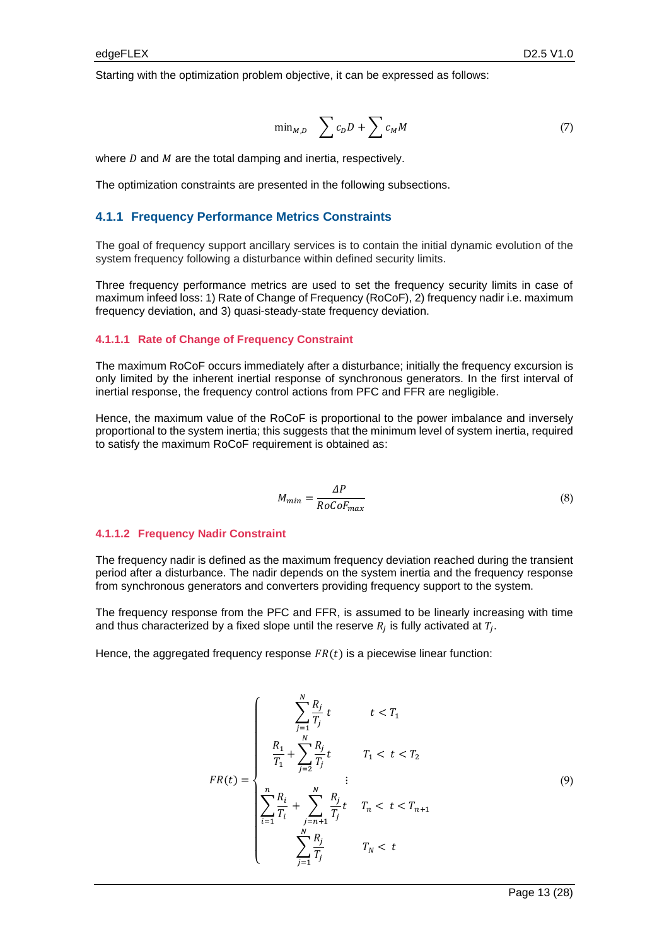Starting with the optimization problem objective, it can be expressed as follows:

$$
\min_{M,D} \quad \sum c_D D + \sum c_M M \tag{7}
$$

where  $D$  and  $M$  are the total damping and inertia, respectively.

The optimization constraints are presented in the following subsections.

#### **4.1.1 Frequency Performance Metrics Constraints**

The goal of frequency support ancillary services is to contain the initial dynamic evolution of the system frequency following a disturbance within defined security limits.

Three frequency performance metrics are used to set the frequency security limits in case of maximum infeed loss: 1) Rate of Change of Frequency (RoCoF), 2) frequency nadir i.e. maximum frequency deviation, and 3) quasi-steady-state frequency deviation.

#### **4.1.1.1 Rate of Change of Frequency Constraint**

The maximum RoCoF occurs immediately after a disturbance; initially the frequency excursion is only limited by the inherent inertial response of synchronous generators. In the first interval of inertial response, the frequency control actions from PFC and FFR are negligible.

Hence, the maximum value of the RoCoF is proportional to the power imbalance and inversely proportional to the system inertia; this suggests that the minimum level of system inertia, required to satisfy the maximum RoCoF requirement is obtained as:

$$
M_{min} = \frac{\Delta P}{RoCoF_{max}}\tag{8}
$$

#### **4.1.1.2 Frequency Nadir Constraint**

The frequency nadir is defined as the maximum frequency deviation reached during the transient period after a disturbance. The nadir depends on the system inertia and the frequency response from synchronous generators and converters providing frequency support to the system.

The frequency response from the PFC and FFR, is assumed to be linearly increasing with time and thus characterized by a fixed slope until the reserve  $R_j$  is fully activated at  $T_j.$ 

Hence, the aggregated frequency response  $FR(t)$  is a piecewise linear function:

$$
FR(t) = \begin{cases} \sum_{j=1}^{N} \frac{R_j}{T_j} t & t < T_1 \\ \frac{R_1}{T_1} + \sum_{j=2}^{N} \frac{R_j}{T_j} t & T_1 < t < T_2 \\ \sum_{i=1}^{n} \frac{R_i}{T_i} + \sum_{j=n+1}^{N} \frac{R_j}{T_j} t & T_n < t < T_{n+1} \\ \sum_{j=1}^{N} \frac{R_j}{T_j} & T_N < t \end{cases}
$$
(9)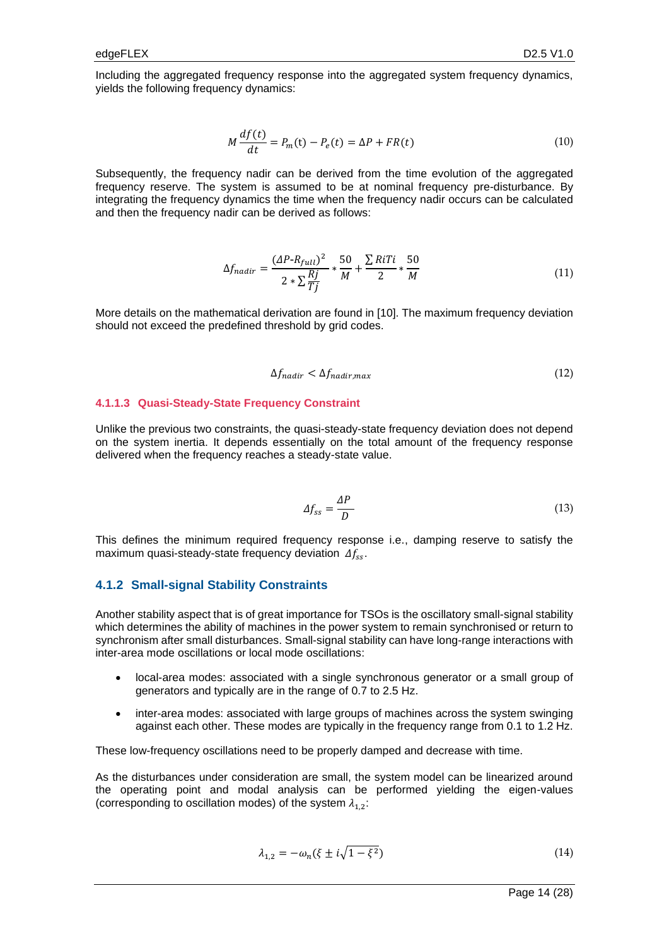Including the aggregated frequency response into the aggregated system frequency dynamics, yields the following frequency dynamics:

$$
M\frac{df(t)}{dt} = P_m(t) - P_e(t) = \Delta P + FR(t)
$$
\n(10)

Subsequently, the frequency nadir can be derived from the time evolution of the aggregated frequency reserve. The system is assumed to be at nominal frequency pre-disturbance. By integrating the frequency dynamics the time when the frequency nadir occurs can be calculated and then the frequency nadir can be derived as follows:

$$
\Delta f_{nadir} = \frac{(AP - R_{full})^2}{2 * \sum \frac{Rj}{Tj}} * \frac{50}{M} + \frac{\sum RiTi}{2} * \frac{50}{M}
$$
(11)

More details on the mathematical derivation are found in [10]. The maximum frequency deviation should not exceed the predefined threshold by grid codes.

$$
\Delta f_{nadir} < \Delta f_{nadir,max} \tag{12}
$$

#### **4.1.1.3 Quasi-Steady-State Frequency Constraint**

Unlike the previous two constraints, the quasi-steady-state frequency deviation does not depend on the system inertia. It depends essentially on the total amount of the frequency response delivered when the frequency reaches a steady-state value.

$$
\Delta f_{ss} = \frac{\Delta P}{D} \tag{13}
$$

This defines the minimum required frequency response i.e., damping reserve to satisfy the maximum quasi-steady-state frequency deviation  $\Delta f_{ss}$ .

#### **4.1.2 Small-signal Stability Constraints**

Another stability aspect that is of great importance for TSOs is the oscillatory small-signal stability which determines the ability of machines in the power system to remain synchronised or return to synchronism after small disturbances. Small-signal stability can have long-range interactions with inter-area mode oscillations or local mode oscillations:

- local-area modes: associated with a single synchronous generator or a small group of generators and typically are in the range of 0.7 to 2.5 Hz.
- inter-area modes: associated with large groups of machines across the system swinging against each other. These modes are typically in the frequency range from 0.1 to 1.2 Hz.

These low-frequency oscillations need to be properly damped and decrease with time.

As the disturbances under consideration are small, the system model can be linearized around the operating point and modal analysis can be performed yielding the eigen-values (corresponding to oscillation modes) of the system  $\lambda_{1,2}$ :

$$
\lambda_{1,2} = -\omega_n(\xi \pm i\sqrt{1 - \xi^2})\tag{14}
$$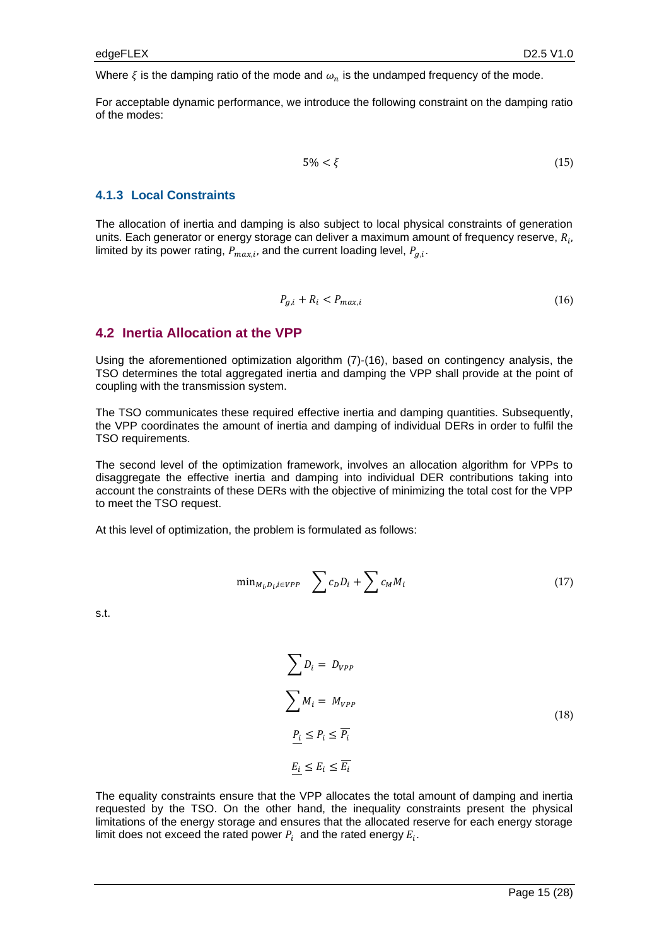Where  $\xi$  is the damping ratio of the mode and  $\omega_n$  is the undamped frequency of the mode.

For acceptable dynamic performance, we introduce the following constraint on the damping ratio of the modes:

$$
5\% < \xi \tag{15}
$$

#### **4.1.3 Local Constraints**

The allocation of inertia and damping is also subject to local physical constraints of generation units. Each generator or energy storage can deliver a maximum amount of frequency reserve,  $R_{i}$ , limited by its power rating,  $P_{max,i}$ , and the current loading level,  $P_{g,i}$ .

$$
P_{g,i} + R_i < P_{max,i} \tag{16}
$$

#### **4.2 Inertia Allocation at the VPP**

Using the aforementioned optimization algorithm (7)-(16), based on contingency analysis, the TSO determines the total aggregated inertia and damping the VPP shall provide at the point of coupling with the transmission system.

The TSO communicates these required effective inertia and damping quantities. Subsequently, the VPP coordinates the amount of inertia and damping of individual DERs in order to fulfil the TSO requirements.

The second level of the optimization framework, involves an allocation algorithm for VPPs to disaggregate the effective inertia and damping into individual DER contributions taking into account the constraints of these DERs with the objective of minimizing the total cost for the VPP to meet the TSO request.

At this level of optimization, the problem is formulated as follows:

$$
\min_{M_i, D_i, i \in VPP} \quad \sum c_D D_i + \sum c_M M_i \tag{17}
$$

s.t.

$$
\sum D_i = D_{VPP}
$$
\n
$$
\sum M_i = M_{VPP}
$$
\n
$$
\underline{P_i} \le P_i \le \overline{P_i}
$$
\n
$$
\underline{E_i} \le E_i \le \overline{E_i}
$$
\n(18)

The equality constraints ensure that the VPP allocates the total amount of damping and inertia requested by the TSO. On the other hand, the inequality constraints present the physical limitations of the energy storage and ensures that the allocated reserve for each energy storage limit does not exceed the rated power  $P_i$  and the rated energy  $E_i$ .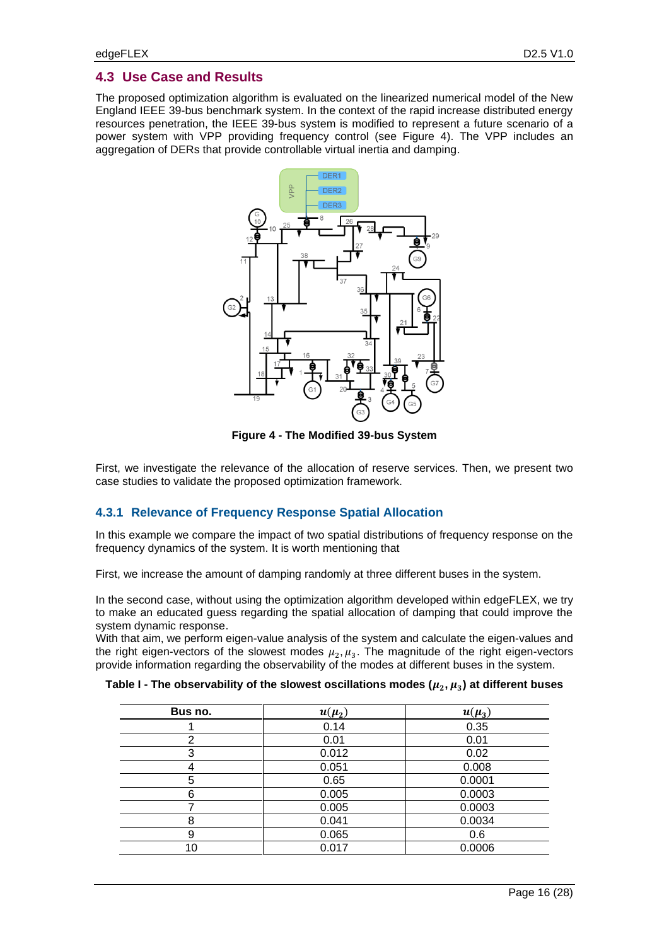#### **4.3 Use Case and Results**

The proposed optimization algorithm is evaluated on the linearized numerical model of the New England IEEE 39-bus benchmark system. In the context of the rapid increase distributed energy resources penetration, the IEEE 39-bus system is modified to represent a future scenario of a power system with VPP providing frequency control (see [Figure 4\)](#page-15-0). The VPP includes an aggregation of DERs that provide controllable virtual inertia and damping.



**Figure 4 - The Modified 39-bus System**

<span id="page-15-0"></span>First, we investigate the relevance of the allocation of reserve services. Then, we present two case studies to validate the proposed optimization framework.

#### <span id="page-15-1"></span>**4.3.1 Relevance of Frequency Response Spatial Allocation**

In this example we compare the impact of two spatial distributions of frequency response on the frequency dynamics of the system. It is worth mentioning that

First, we increase the amount of damping randomly at three different buses in the system.

In the second case, without using the optimization algorithm developed within edgeFLEX, we try to make an educated guess regarding the spatial allocation of damping that could improve the system dynamic response.

With that aim, we perform eigen-value analysis of the system and calculate the eigen-values and the right eigen-vectors of the slowest modes  $\mu_2$ ,  $\mu_3$ . The magnitude of the right eigen-vectors provide information regarding the observability of the modes at different buses in the system.

<span id="page-15-2"></span>

| Table I - The observability of the slowest oscillations modes ( $\mu_2, \mu_3$ ) at different buses |  |  |
|-----------------------------------------------------------------------------------------------------|--|--|
|-----------------------------------------------------------------------------------------------------|--|--|

| Bus no. | $u(\mu_2)$ | $u(\mu_3)$ |
|---------|------------|------------|
|         | 0.14       | 0.35       |
| 2       | 0.01       | 0.01       |
| 3       | 0.012      | 0.02       |
|         | 0.051      | 0.008      |
| 5       | 0.65       | 0.0001     |
| 6       | 0.005      | 0.0003     |
|         | 0.005      | 0.0003     |
| 8       | 0.041      | 0.0034     |
| 9       | 0.065      | 0.6        |
| 10      | 0.017      | 0.0006     |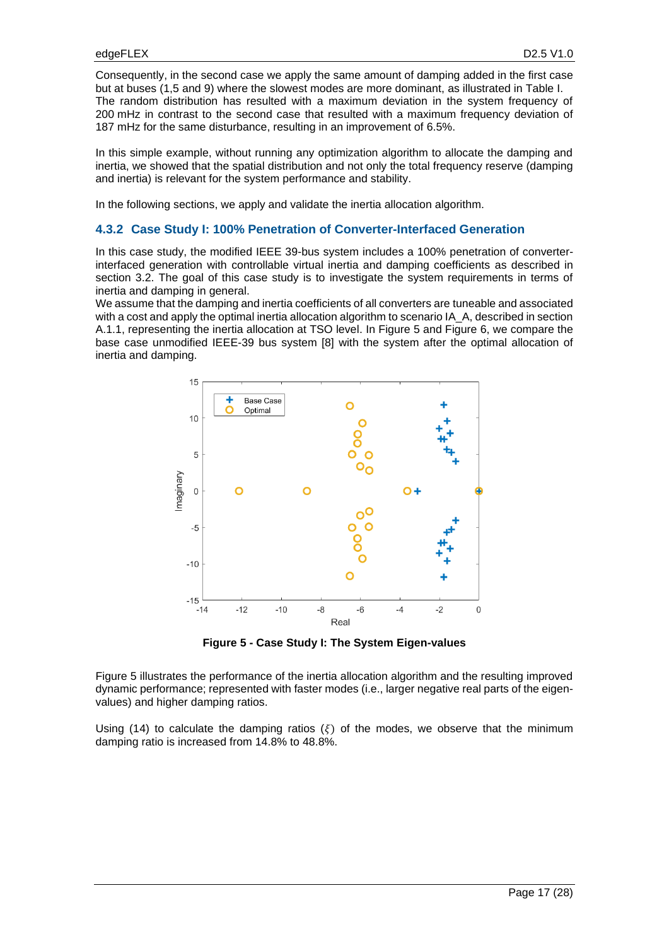Consequently, in the second case we apply the same amount of damping added in the first case but at buses (1,5 and 9) where the slowest modes are more dominant, as illustrated in Table I. The random distribution has resulted with a maximum deviation in the system frequency of 200 mHz in contrast to the second case that resulted with a maximum frequency deviation of 187 mHz for the same disturbance, resulting in an improvement of 6.5%.

In this simple example, without running any optimization algorithm to allocate the damping and inertia, we showed that the spatial distribution and not only the total frequency reserve (damping and inertia) is relevant for the system performance and stability.

In the following sections, we apply and validate the inertia allocation algorithm.

#### **4.3.2 Case Study I: 100% Penetration of Converter-Interfaced Generation**

In this case study, the modified IEEE 39-bus system includes a 100% penetration of converterinterfaced generation with controllable virtual inertia and damping coefficients as described in section [3.2.](#page-8-0) The goal of this case study is to investigate the system requirements in terms of inertia and damping in general.

We assume that the damping and inertia coefficients of all converters are tuneable and associated with a cost and apply the optimal inertia allocation algorithm to scenario IA\_A, described in section [A.1.1,](#page-25-0) representing the inertia allocation at TSO level. In [Figure 5](#page-16-0) and [Figure 6,](#page-17-0) we compare the base case unmodified IEEE-39 bus system [8] with the system after the optimal allocation of inertia and damping.



**Figure 5 - Case Study I: The System Eigen-values**

<span id="page-16-0"></span>[Figure 5](#page-16-0) illustrates the performance of the inertia allocation algorithm and the resulting improved dynamic performance; represented with faster modes (i.e., larger negative real parts of the eigenvalues) and higher damping ratios.

Using (14) to calculate the damping ratios ( $\xi$ ) of the modes, we observe that the minimum damping ratio is increased from 14.8% to 48.8%.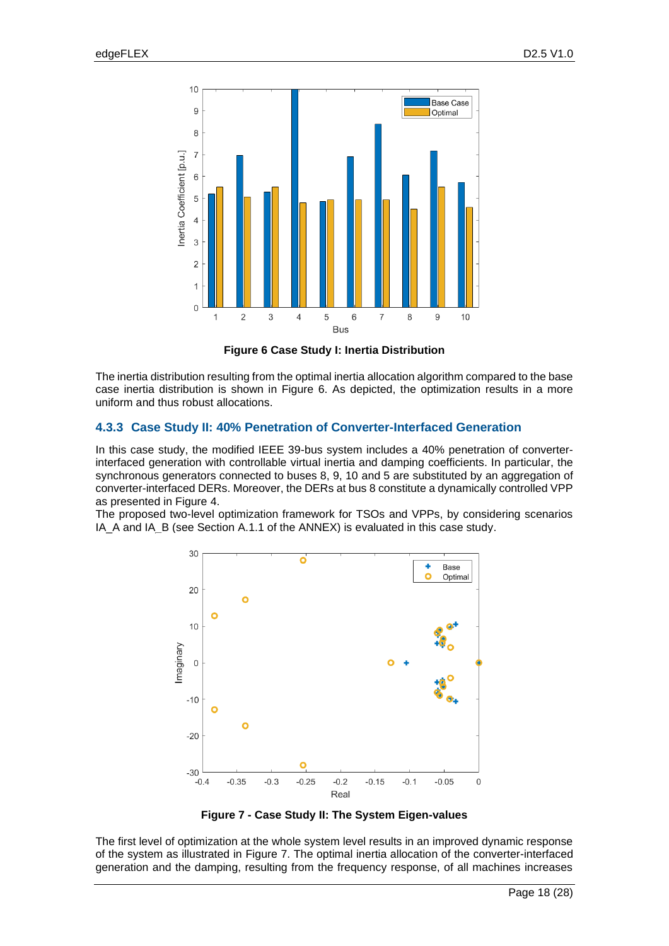

**Figure 6 Case Study I: Inertia Distribution**

<span id="page-17-0"></span>The inertia distribution resulting from the optimal inertia allocation algorithm compared to the base case inertia distribution is shown in [Figure 6.](#page-17-0) As depicted, the optimization results in a more uniform and thus robust allocations.

### **4.3.3 Case Study II: 40% Penetration of Converter-Interfaced Generation**

In this case study, the modified IEEE 39-bus system includes a 40% penetration of converterinterfaced generation with controllable virtual inertia and damping coefficients. In particular, the synchronous generators connected to buses 8, 9, 10 and 5 are substituted by an aggregation of converter-interfaced DERs. Moreover, the DERs at bus 8 constitute a dynamically controlled VPP as presented in [Figure 4.](#page-15-0)

The proposed two-level optimization framework for TSOs and VPPs, by considering scenarios IA\_A and IA\_B (see Section [A.1.1](#page-25-0) of the ANNEX) is evaluated in this case study.



**Figure 7 - Case Study II: The System Eigen-values**

<span id="page-17-1"></span>The first level of optimization at the whole system level results in an improved dynamic response of the system as illustrated in [Figure 7.](#page-17-1) The optimal inertia allocation of the converter-interfaced generation and the damping, resulting from the frequency response, of all machines increases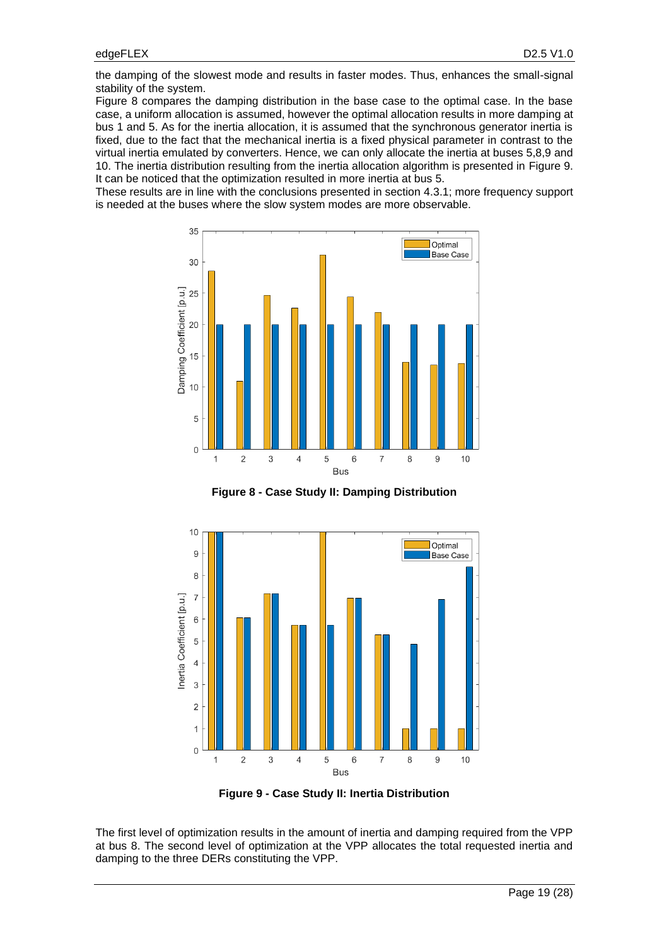the damping of the slowest mode and results in faster modes. Thus, enhances the small-signal stability of the system.

[Figure 8](#page-18-0) compares the damping distribution in the base case to the optimal case. In the base case, a uniform allocation is assumed, however the optimal allocation results in more damping at bus 1 and 5. As for the inertia allocation, it is assumed that the synchronous generator inertia is fixed, due to the fact that the mechanical inertia is a fixed physical parameter in contrast to the virtual inertia emulated by converters. Hence, we can only allocate the inertia at buses 5,8,9 and 10. The inertia distribution resulting from the inertia allocation algorithm is presented in [Figure 9.](#page-18-1) It can be noticed that the optimization resulted in more inertia at bus 5.

These results are in line with the conclusions presented in section [4.3.1;](#page-15-1) more frequency support is needed at the buses where the slow system modes are more observable.



**Figure 8 - Case Study II: Damping Distribution**

<span id="page-18-0"></span>

**Figure 9 - Case Study II: Inertia Distribution**

<span id="page-18-1"></span>The first level of optimization results in the amount of inertia and damping required from the VPP at bus 8. The second level of optimization at the VPP allocates the total requested inertia and damping to the three DERs constituting the VPP.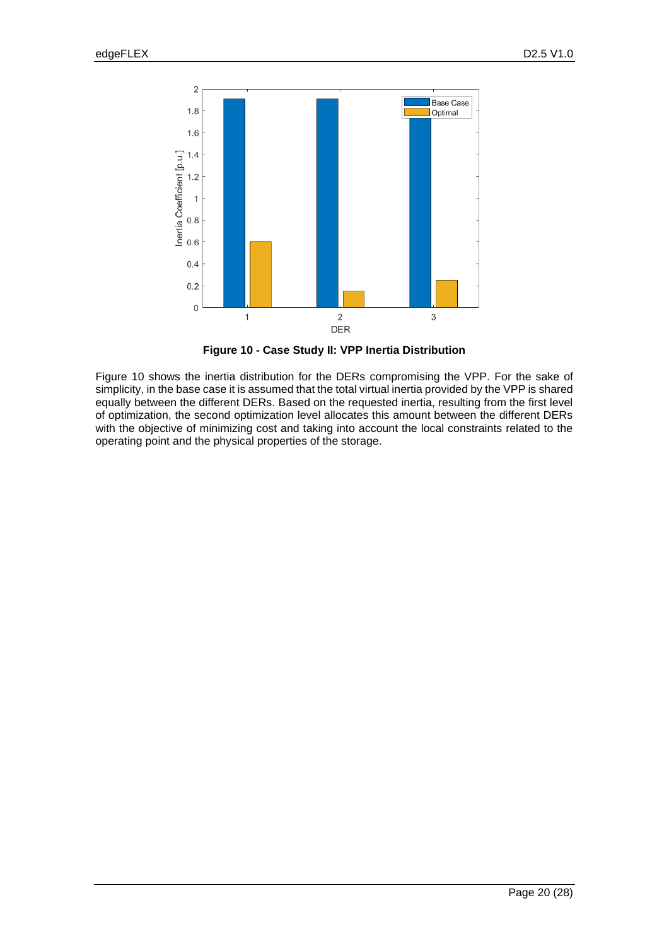

**Figure 10 - Case Study II: VPP Inertia Distribution**

<span id="page-19-0"></span>[Figure 10](#page-19-0) shows the inertia distribution for the DERs compromising the VPP. For the sake of simplicity, in the base case it is assumed that the total virtual inertia provided by the VPP is shared equally between the different DERs. Based on the requested inertia, resulting from the first level of optimization, the second optimization level allocates this amount between the different DERs with the objective of minimizing cost and taking into account the local constraints related to the operating point and the physical properties of the storage.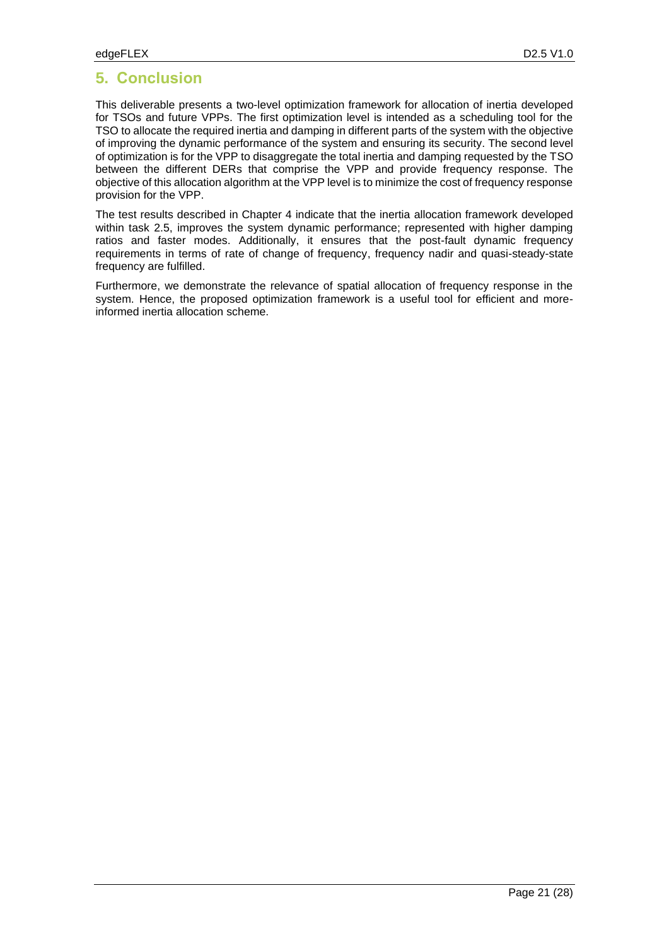# **5. Conclusion**

This deliverable presents a two-level optimization framework for allocation of inertia developed for TSOs and future VPPs. The first optimization level is intended as a scheduling tool for the TSO to allocate the required inertia and damping in different parts of the system with the objective of improving the dynamic performance of the system and ensuring its security. The second level of optimization is for the VPP to disaggregate the total inertia and damping requested by the TSO between the different DERs that comprise the VPP and provide frequency response. The objective of this allocation algorithm at the VPP level is to minimize the cost of frequency response provision for the VPP.

The test results described in Chapter 4 indicate that the inertia allocation framework developed within task 2.5, improves the system dynamic performance; represented with higher damping ratios and faster modes. Additionally, it ensures that the post-fault dynamic frequency requirements in terms of rate of change of frequency, frequency nadir and quasi-steady-state frequency are fulfilled.

Furthermore, we demonstrate the relevance of spatial allocation of frequency response in the system. Hence, the proposed optimization framework is a useful tool for efficient and moreinformed inertia allocation scheme.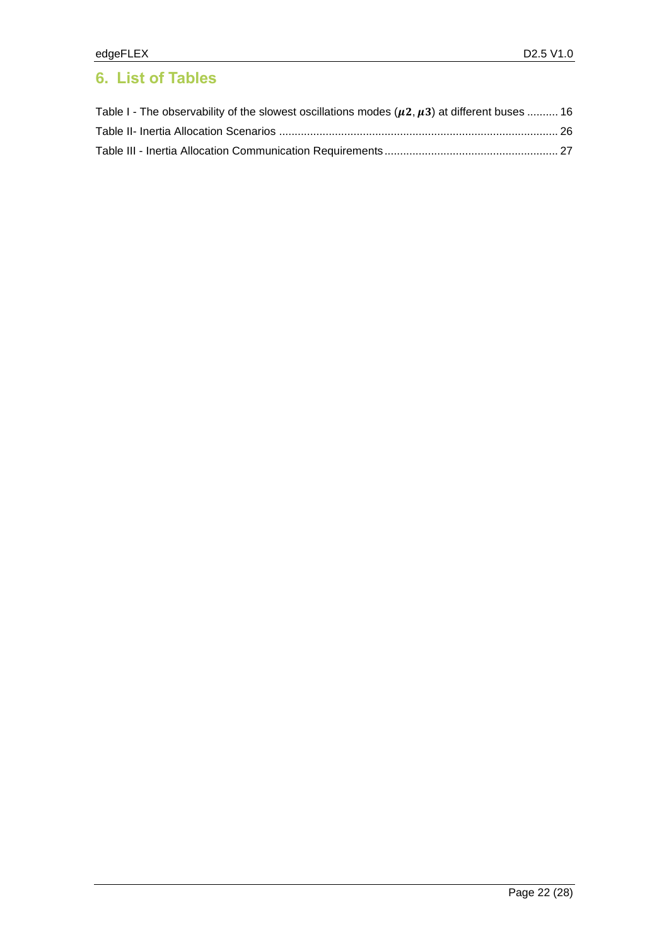# **6. List of Tables**

| Table I - The observability of the slowest oscillations modes ( $\mu$ 2, $\mu$ 3) at different buses  16 |  |
|----------------------------------------------------------------------------------------------------------|--|
|                                                                                                          |  |
|                                                                                                          |  |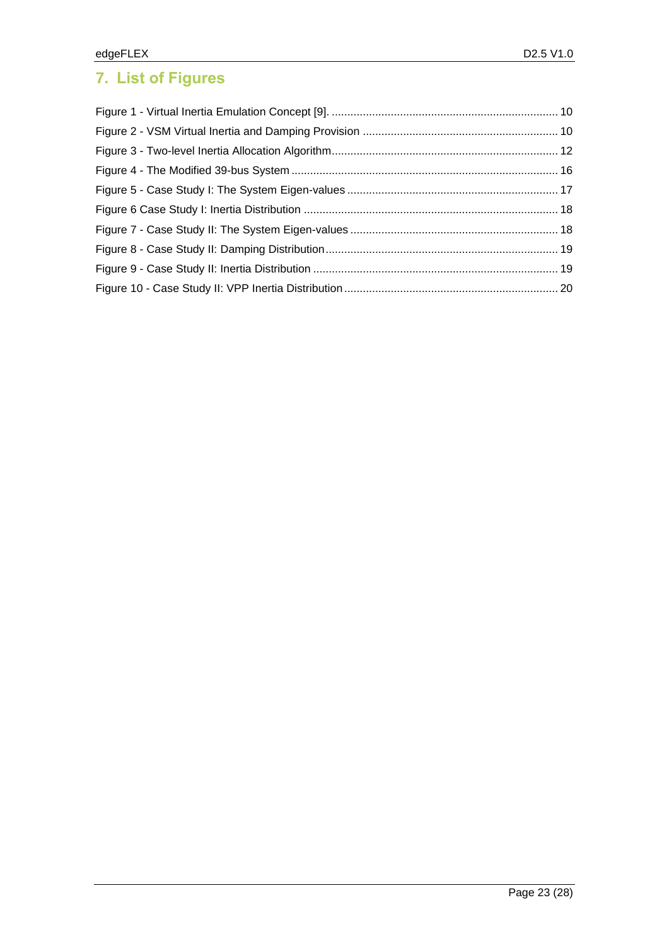# **7. List of Figures**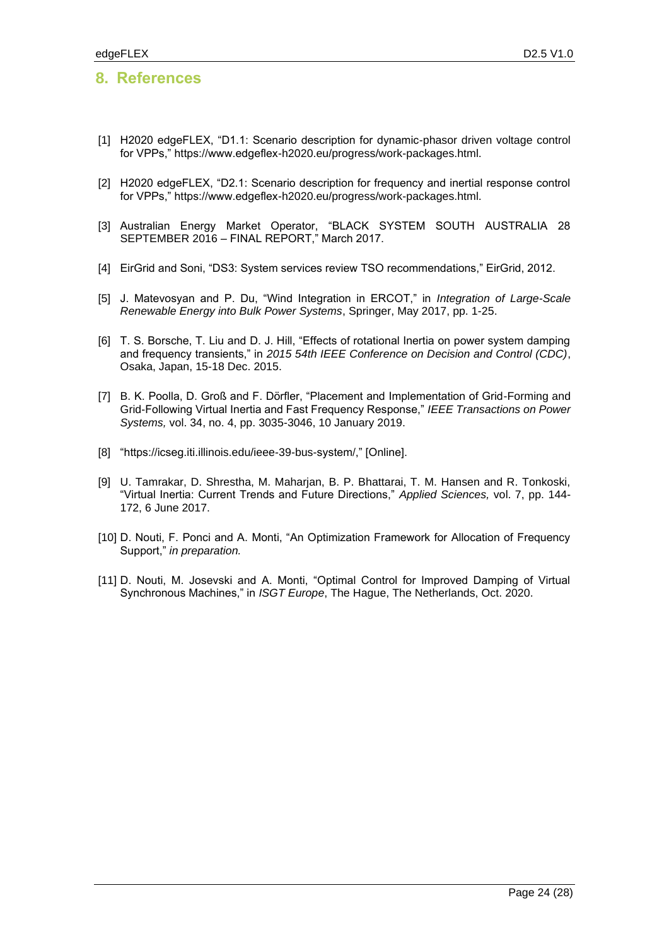### **8. References**

- [1] H2020 edgeFLEX, "D1.1: Scenario description for dynamic-phasor driven voltage control for VPPs," https://www.edgeflex-h2020.eu/progress/work-packages.html.
- [2] H2020 edgeFLEX, "D2.1: Scenario description for frequency and inertial response control for VPPs," https://www.edgeflex-h2020.eu/progress/work-packages.html.
- [3] Australian Energy Market Operator, "BLACK SYSTEM SOUTH AUSTRALIA 28 SEPTEMBER 2016 – FINAL REPORT," March 2017.
- [4] EirGrid and Soni, "DS3: System services review TSO recommendations," EirGrid, 2012.
- [5] J. Matevosyan and P. Du, "Wind Integration in ERCOT," in *Integration of Large-Scale Renewable Energy into Bulk Power Systems*, Springer, May 2017, pp. 1-25.
- [6] T. S. Borsche, T. Liu and D. J. Hill, "Effects of rotational Inertia on power system damping and frequency transients," in *2015 54th IEEE Conference on Decision and Control (CDC)*, Osaka, Japan, 15-18 Dec. 2015.
- [7] B. K. Poolla, D. Groß and F. Dörfler, "Placement and Implementation of Grid-Forming and Grid-Following Virtual Inertia and Fast Frequency Response," *IEEE Transactions on Power Systems,* vol. 34, no. 4, pp. 3035-3046, 10 January 2019.
- [8] "https://icseg.iti.illinois.edu/ieee-39-bus-system/," [Online].
- [9] U. Tamrakar, D. Shrestha, M. Maharjan, B. P. Bhattarai, T. M. Hansen and R. Tonkoski, "Virtual Inertia: Current Trends and Future Directions," *Applied Sciences,* vol. 7, pp. 144- 172, 6 June 2017.
- [10] D. Nouti, F. Ponci and A. Monti, "An Optimization Framework for Allocation of Frequency Support," *in preparation.*
- [11] D. Nouti, M. Josevski and A. Monti, "Optimal Control for Improved Damping of Virtual Synchronous Machines," in *ISGT Europe*, The Hague, The Netherlands, Oct. 2020.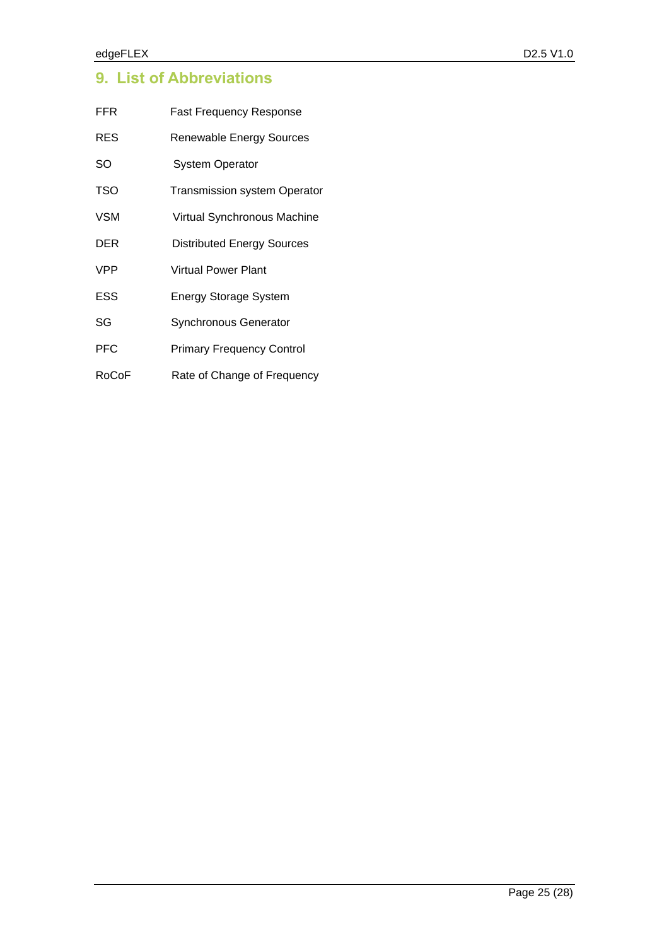# **9. List of Abbreviations**

| FFR   | <b>Fast Frequency Response</b>      |  |
|-------|-------------------------------------|--|
| RES   | <b>Renewable Energy Sources</b>     |  |
| SO    | <b>System Operator</b>              |  |
| TSO   | <b>Transmission system Operator</b> |  |
| VSM   | Virtual Synchronous Machine         |  |
| DER   | <b>Distributed Energy Sources</b>   |  |
| VPP   | <b>Virtual Power Plant</b>          |  |
| ESS   | <b>Energy Storage System</b>        |  |
| SG    | Synchronous Generator               |  |
| PFC   | <b>Primary Frequency Control</b>    |  |
| RoCoF | Rate of Change of Frequency         |  |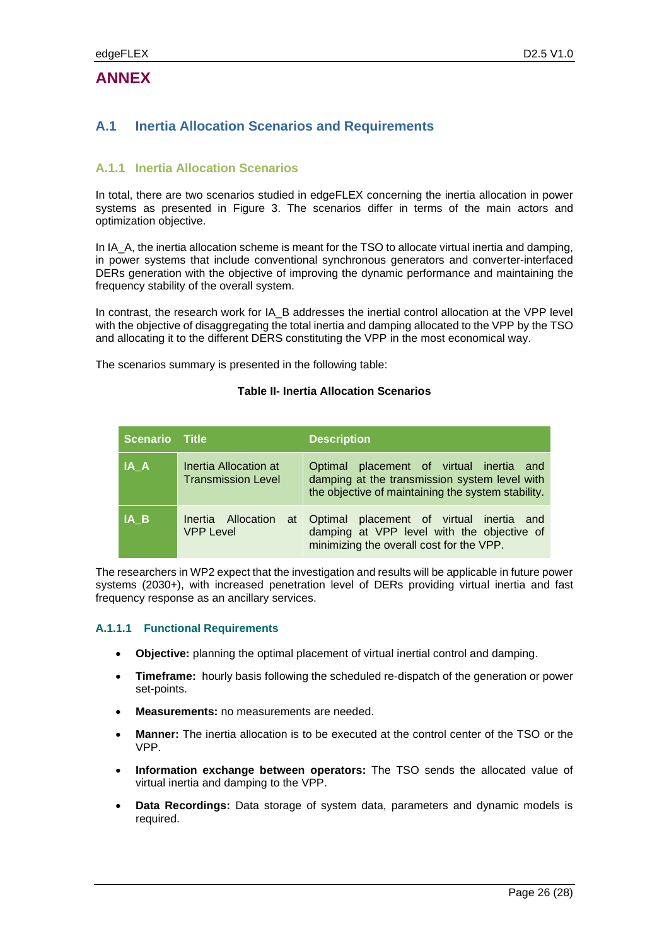## **ANNEX**

### **A.1 Inertia Allocation Scenarios and Requirements**

#### <span id="page-25-0"></span>**A.1.1 Inertia Allocation Scenarios**

In total, there are two scenarios studied in edgeFLEX concerning the inertia allocation in power systems as presented in [Figure 3.](#page-11-0) The scenarios differ in terms of the main actors and optimization objective.

In IA\_A, the inertia allocation scheme is meant for the TSO to allocate virtual inertia and damping, in power systems that include conventional synchronous generators and converter-interfaced DERs generation with the objective of improving the dynamic performance and maintaining the frequency stability of the overall system.

In contrast, the research work for IA\_B addresses the inertial control allocation at the VPP level with the objective of disaggregating the total inertia and damping allocated to the VPP by the TSO and allocating it to the different DERS constituting the VPP in the most economical way.

<span id="page-25-1"></span>The scenarios summary is presented in the following table:

#### **Table II- Inertia Allocation Scenarios**

| <b>Scenario</b> Title |                                                    | <b>Description</b>                                                                                                                              |
|-----------------------|----------------------------------------------------|-------------------------------------------------------------------------------------------------------------------------------------------------|
| IA A                  | Inertia Allocation at<br><b>Transmission Level</b> | Optimal placement of virtual inertia and<br>damping at the transmission system level with<br>the objective of maintaining the system stability. |
| IA B                  | Inertia Allocation<br>at<br><b>VPP Level</b>       | Optimal placement of virtual inertia and<br>damping at VPP level with the objective of<br>minimizing the overall cost for the VPP.              |

The researchers in WP2 expect that the investigation and results will be applicable in future power systems (2030+), with increased penetration level of DERs providing virtual inertia and fast frequency response as an ancillary services.

#### **A.1.1.1 Functional Requirements**

- **Objective:** planning the optimal placement of virtual inertial control and damping.
- **Timeframe:** hourly basis following the scheduled re-dispatch of the generation or power set-points.
- **Measurements:** no measurements are needed.
- **Manner:** The inertia allocation is to be executed at the control center of the TSO or the VPP.
- **Information exchange between operators:** The TSO sends the allocated value of virtual inertia and damping to the VPP.
- **Data Recordings:** Data storage of system data, parameters and dynamic models is required.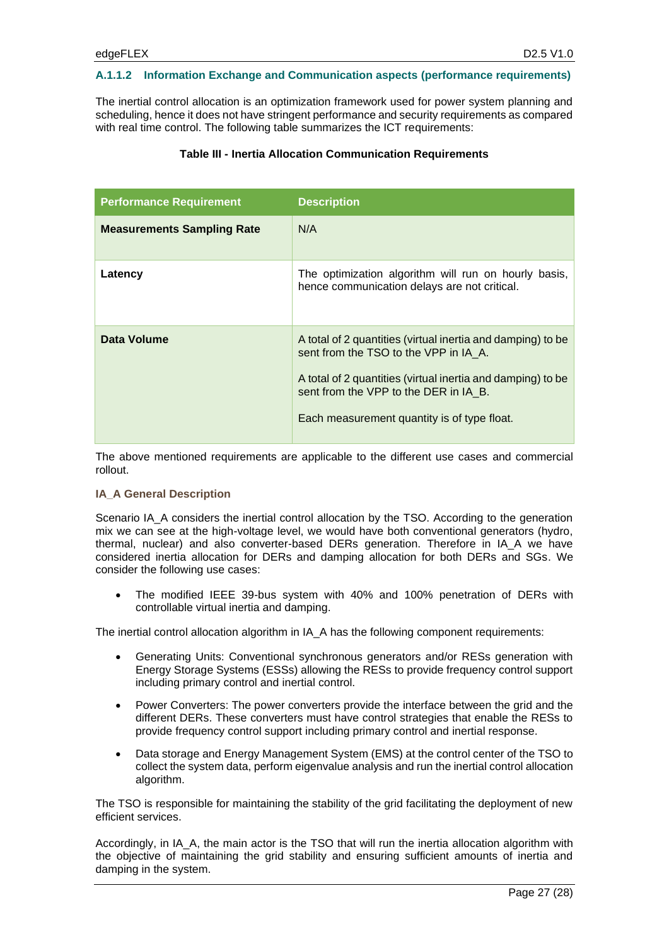#### **A.1.1.2 Information Exchange and Communication aspects (performance requirements)**

<span id="page-26-0"></span>The inertial control allocation is an optimization framework used for power system planning and scheduling, hence it does not have stringent performance and security requirements as compared with real time control. The following table summarizes the ICT requirements:

#### **Table III - Inertia Allocation Communication Requirements**

| <b>Performance Requirement</b>    | <b>Description</b>                                                                                                                                                                                                                                          |
|-----------------------------------|-------------------------------------------------------------------------------------------------------------------------------------------------------------------------------------------------------------------------------------------------------------|
| <b>Measurements Sampling Rate</b> | N/A                                                                                                                                                                                                                                                         |
| Latency                           | The optimization algorithm will run on hourly basis,<br>hence communication delays are not critical.                                                                                                                                                        |
| Data Volume                       | A total of 2 quantities (virtual inertia and damping) to be<br>sent from the TSO to the VPP in IA A.<br>A total of 2 quantities (virtual inertia and damping) to be<br>sent from the VPP to the DER in IA B.<br>Each measurement quantity is of type float. |

The above mentioned requirements are applicable to the different use cases and commercial rollout.

#### **IA\_A General Description**

Scenario IA\_A considers the inertial control allocation by the TSO. According to the generation mix we can see at the high-voltage level, we would have both conventional generators (hydro, thermal, nuclear) and also converter-based DERs generation. Therefore in IA\_A we have considered inertia allocation for DERs and damping allocation for both DERs and SGs. We consider the following use cases:

• The modified IEEE 39-bus system with 40% and 100% penetration of DERs with controllable virtual inertia and damping.

The inertial control allocation algorithm in IA\_A has the following component requirements:

- Generating Units: Conventional synchronous generators and/or RESs generation with Energy Storage Systems (ESSs) allowing the RESs to provide frequency control support including primary control and inertial control.
- Power Converters: The power converters provide the interface between the grid and the different DERs. These converters must have control strategies that enable the RESs to provide frequency control support including primary control and inertial response.
- Data storage and Energy Management System (EMS) at the control center of the TSO to collect the system data, perform eigenvalue analysis and run the inertial control allocation algorithm.

The TSO is responsible for maintaining the stability of the grid facilitating the deployment of new efficient services.

Accordingly, in IA\_A, the main actor is the TSO that will run the inertia allocation algorithm with the objective of maintaining the grid stability and ensuring sufficient amounts of inertia and damping in the system.